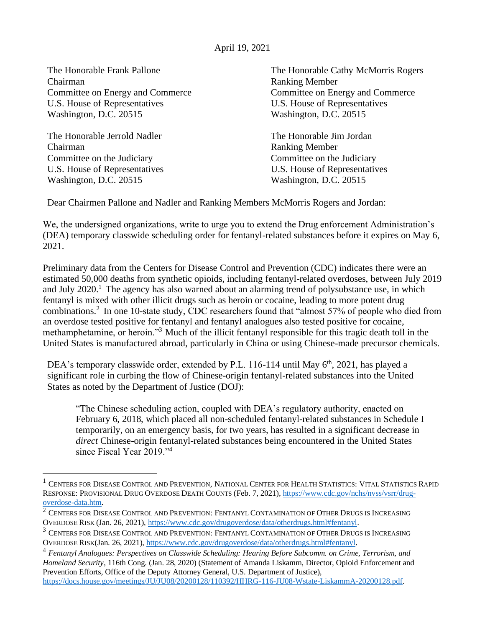Chairman Ranking Member U.S. House of Representatives U.S. House of Representatives Washington, D.C. 20515 Washington, D.C. 20515

The Honorable Jerrold Nadler The Honorable Jim Jordan Chairman Ranking Member Committee on the Judiciary Committee on the Judiciary U.S. House of Representatives U.S. House of Representatives Washington, D.C. 20515 Washington, D.C. 20515

The Honorable Frank Pallone The Honorable Cathy McMorris Rogers Committee on Energy and Commerce Committee on Energy and Commerce

Dear Chairmen Pallone and Nadler and Ranking Members McMorris Rogers and Jordan:

We, the undersigned organizations, write to urge you to extend the Drug enforcement Administration's (DEA) temporary classwide scheduling order for fentanyl-related substances before it expires on May 6, 2021.

Preliminary data from the Centers for Disease Control and Prevention (CDC) indicates there were an estimated 50,000 deaths from synthetic opioids, including fentanyl-related overdoses, between July 2019 and July  $2020<sup>1</sup>$ . The agency has also warned about an alarming trend of polysubstance use, in which fentanyl is mixed with other illicit drugs such as heroin or cocaine, leading to more potent drug combinations.<sup>2</sup> In one 10-state study, CDC researchers found that "almost 57% of people who died from an overdose tested positive for fentanyl and fentanyl analogues also tested positive for cocaine, methamphetamine, or heroin."<sup>3</sup> Much of the illicit fentanyl responsible for this tragic death toll in the United States is manufactured abroad, particularly in China or using Chinese-made precursor chemicals.

DEA's temporary classwide order, extended by P.L. 116-114 until May 6<sup>th</sup>, 2021, has played a significant role in curbing the flow of Chinese-origin fentanyl-related substances into the United States as noted by the Department of Justice (DOJ):

"The Chinese scheduling action, coupled with DEA's regulatory authority, enacted on February 6, 2018, which placed all non-scheduled fentanyl-related substances in Schedule I temporarily, on an emergency basis, for two years, has resulted in a significant decrease in *direct* Chinese-origin fentanyl-related substances being encountered in the United States since Fiscal Year 2019."<sup>4</sup>

<sup>&</sup>lt;sup>1</sup> CENTERS FOR DISEASE CONTROL AND PREVENTION, NATIONAL CENTER FOR HEALTH STATISTICS: VITAL STATISTICS RAPID RESPONSE: PROVISIONAL DRUG OVERDOSE DEATH COUNTS (Feb. 7, 2021)*,* [https://www.cdc.gov/nchs/nvss/vsrr/drug](https://www.cdc.gov/nchs/nvss/vsrr/drug-overdose-data.htm)[overdose-data.htm.](https://www.cdc.gov/nchs/nvss/vsrr/drug-overdose-data.htm)

 $2$  Centers for Disease Control and Prevention: Fentanyl Contamination of Other Drugs is Increasing OVERDOSE RISK (Jan. 26, 2021)[, https://www.cdc.gov/drugoverdose/data/otherdrugs.html#fentanyl.](https://www.cdc.gov/drugoverdose/data/otherdrugs.html#fentanyl)

<sup>&</sup>lt;sup>3</sup> CENTERS FOR DISEASE CONTROL AND PREVENTION: FENTANYL CONTAMINATION OF OTHER DRUGS IS INCREASING OVERDOSE RISK(Jan. 26, 2021)[, https://www.cdc.gov/drugoverdose/data/otherdrugs.html#fentanyl.](https://www.cdc.gov/drugoverdose/data/otherdrugs.html#fentanyl)

<sup>4</sup> *Fentanyl Analogues: Perspectives on Classwide Scheduling: Hearing Before Subcomm. on Crime, Terrorism, and Homeland Security*, 116th Cong. (Jan. 28, 2020) (Statement of Amanda Liskamm, Director, Opioid Enforcement and Prevention Efforts, Office of the Deputy Attorney General, U.S. Department of Justice), [https://docs.house.gov/meetings/JU/JU08/20200128/110392/HHRG-116-JU08-Wstate-LiskammA-20200128.pdf.](https://docs.house.gov/meetings/JU/JU08/20200128/110392/HHRG-116-JU08-Wstate-LiskammA-20200128.pdf)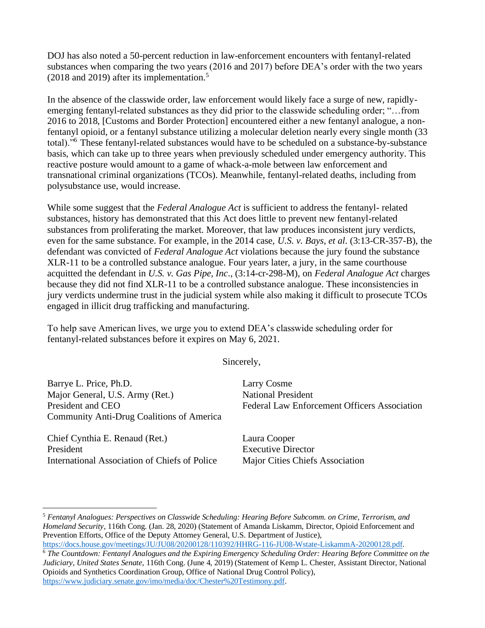DOJ has also noted a 50-percent reduction in law-enforcement encounters with fentanyl-related substances when comparing the two years (2016 and 2017) before DEA's order with the two years (2018 and 2019) after its implementation. $5$ 

In the absence of the classwide order, law enforcement would likely face a surge of new, rapidlyemerging fentanyl-related substances as they did prior to the classwide scheduling order; "…from 2016 to 2018, [Customs and Border Protection] encountered either a new fentanyl analogue, a nonfentanyl opioid, or a fentanyl substance utilizing a molecular deletion nearly every single month (33 total)."<sup>6</sup> These fentanyl-related substances would have to be scheduled on a substance-by-substance basis, which can take up to three years when previously scheduled under emergency authority. This reactive posture would amount to a game of whack-a-mole between law enforcement and transnational criminal organizations (TCOs). Meanwhile, fentanyl-related deaths, including from polysubstance use, would increase.

While some suggest that the *Federal Analogue Act* is sufficient to address the fentanyl- related substances, history has demonstrated that this Act does little to prevent new fentanyl-related substances from proliferating the market. Moreover, that law produces inconsistent jury verdicts, even for the same substance. For example, in the 2014 case, *U.S. v. Bays, et al*. (3:13-CR-357-B), the defendant was convicted of *Federal Analogue Act* violations because the jury found the substance XLR-11 to be a controlled substance analogue. Four years later, a jury, in the same courthouse acquitted the defendant in *U.S. v. Gas Pipe, Inc*., (3:14-cr-298-M), on *Federal Analogue Act* charges because they did not find XLR-11 to be a controlled substance analogue. These inconsistencies in jury verdicts undermine trust in the judicial system while also making it difficult to prosecute TCOs engaged in illicit drug trafficking and manufacturing.

To help save American lives, we urge you to extend DEA's classwide scheduling order for fentanyl-related substances before it expires on May 6, 2021.

Sincerely,

Barrye L. Price, Ph.D. Larry Cosme Major General, U.S. Army (Ret.) National President Community Anti-Drug Coalitions of America

Chief Cynthia E. Renaud (Ret.) Laura Cooper President Executive Director International Association of Chiefs of Police Major Cities Chiefs Association

President and CEO Federal Law Enforcement Officers Association

<sup>5</sup> *Fentanyl Analogues: Perspectives on Classwide Scheduling: Hearing Before Subcomm. on Crime, Terrorism, and Homeland Security*, 116th Cong. (Jan. 28, 2020) (Statement of Amanda Liskamm, Director, Opioid Enforcement and Prevention Efforts, Office of the Deputy Attorney General, U.S. Department of Justice), [https://docs.house.gov/meetings/JU/JU08/20200128/110392/HHRG-116-JU08-Wstate-LiskammA-20200128.pdf.](https://docs.house.gov/meetings/JU/JU08/20200128/110392/HHRG-116-JU08-Wstate-LiskammA-20200128.pdf)

<sup>6</sup> *The Countdown: Fentanyl Analogues and the Expiring Emergency Scheduling Order: Hearing Before Committee on the Judiciary, United States Senate*, 116th Cong. (June 4, 2019) (Statement of Kemp L. Chester, Assistant Director, National Opioids and Synthetics Coordination Group, Office of National Drug Control Policy), [https://www.judiciary.senate.gov/imo/media/doc/Chester%20Testimony.pdf.](https://www.judiciary.senate.gov/imo/media/doc/Chester%20Testimony.pdf)